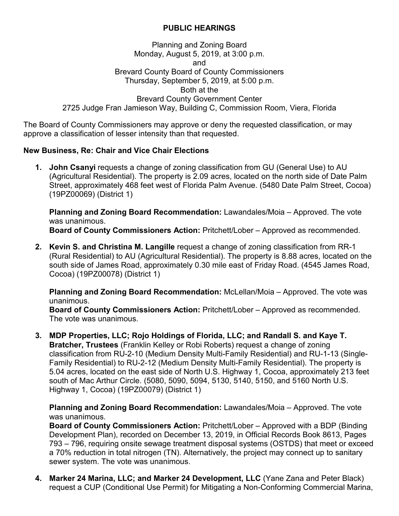## **PUBLIC HEARINGS**

## Planning and Zoning Board Monday, August 5, 2019, at 3:00 p.m. and Brevard County Board of County Commissioners Thursday, September 5, 2019, at 5:00 p.m. Both at the Brevard County Government Center 2725 Judge Fran Jamieson Way, Building C, Commission Room, Viera, Florida

The Board of County Commissioners may approve or deny the requested classification, or may approve a classification of lesser intensity than that requested.

## **New Business, Re: Chair and Vice Chair Elections**

**1. John Csanyi** requests a change of zoning classification from GU (General Use) to AU (Agricultural Residential). The property is 2.09 acres, located on the north side of Date Palm Street, approximately 468 feet west of Florida Palm Avenue. (5480 Date Palm Street, Cocoa) (19PZ00069) (District 1)

**Planning and Zoning Board Recommendation:** Lawandales/Moia – Approved. The vote was unanimous.

**Board of County Commissioners Action:** Pritchett/Lober – Approved as recommended.

**2. Kevin S. and Christina M. Langille** request a change of zoning classification from RR-1 (Rural Residential) to AU (Agricultural Residential). The property is 8.88 acres, located on the south side of James Road, approximately 0.30 mile east of Friday Road. (4545 James Road, Cocoa) (19PZ00078) (District 1)

**Planning and Zoning Board Recommendation:** McLellan/Moia – Approved. The vote was unanimous.

**Board of County Commissioners Action:** Pritchett/Lober – Approved as recommended. The vote was unanimous.

**3. MDP Properties, LLC; Rojo Holdings of Florida, LLC; and Randall S. and Kaye T. Bratcher, Trustees** (Franklin Kelley or Robi Roberts) request a change of zoning classification from RU-2-10 (Medium Density Multi-Family Residential) and RU-1-13 (Single-Family Residential) to RU-2-12 (Medium Density Multi-Family Residential). The property is 5.04 acres, located on the east side of North U.S. Highway 1, Cocoa, approximately 213 feet south of Mac Arthur Circle. (5080, 5090, 5094, 5130, 5140, 5150, and 5160 North U.S. Highway 1, Cocoa) (19PZ00079) (District 1)

**Planning and Zoning Board Recommendation:** Lawandales/Moia – Approved. The vote was unanimous.

**Board of County Commissioners Action:** Pritchett/Lober – Approved with a BDP (Binding Development Plan), recorded on December 13, 2019, in Official Records Book 8613, Pages 793 – 796, requiring onsite sewage treatment disposal systems (OSTDS) that meet or exceed a 70% reduction in total nitrogen (TN). Alternatively, the project may connect up to sanitary sewer system. The vote was unanimous.

**4. Marker 24 Marina, LLC; and Marker 24 Development, LLC** (Yane Zana and Peter Black) request a CUP (Conditional Use Permit) for Mitigating a Non-Conforming Commercial Marina,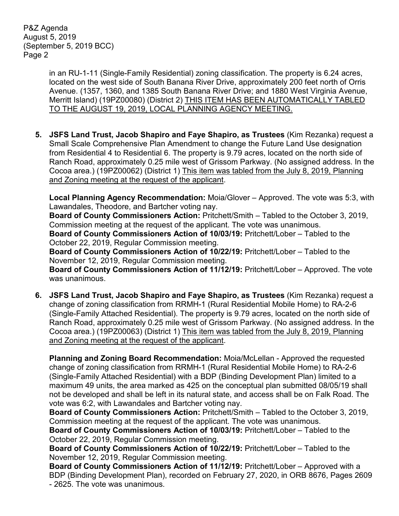P&Z Agenda August 5, 2019 (September 5, 2019 BCC) Page 2

> in an RU-1-11 (Single-Family Residential) zoning classification. The property is 6.24 acres, located on the west side of South Banana River Drive, approximately 200 feet north of Orris Avenue. (1357, 1360, and 1385 South Banana River Drive; and 1880 West Virginia Avenue, Merritt Island) (19PZ00080) (District 2) THIS ITEM HAS BEEN AUTOMATICALLY TABLED TO THE AUGUST 19, 2019, LOCAL PLANNING AGENCY MEETING.

**5. JSFS Land Trust, Jacob Shapiro and Faye Shapiro, as Trustees** (Kim Rezanka) request a Small Scale Comprehensive Plan Amendment to change the Future Land Use designation from Residential 4 to Residential 6. The property is 9.79 acres, located on the north side of Ranch Road, approximately 0.25 mile west of Grissom Parkway. (No assigned address. In the Cocoa area.) (19PZ00062) (District 1) This item was tabled from the July 8, 2019, Planning and Zoning meeting at the request of the applicant.

**Local Planning Agency Recommendation:** Moia/Glover – Approved. The vote was 5:3, with Lawandales, Theodore, and Bartcher voting nay.

**Board of County Commissioners Action:** Pritchett/Smith – Tabled to the October 3, 2019, Commission meeting at the request of the applicant. The vote was unanimous.

**Board of County Commissioners Action of 10/03/19:** Pritchett/Lober – Tabled to the October 22, 2019, Regular Commission meeting.

**Board of County Commissioners Action of 10/22/19:** Pritchett/Lober – Tabled to the November 12, 2019, Regular Commission meeting.

**Board of County Commissioners Action of 11/12/19:** Pritchett/Lober – Approved. The vote was unanimous.

**6. JSFS Land Trust, Jacob Shapiro and Faye Shapiro, as Trustees** (Kim Rezanka) request a change of zoning classification from RRMH-1 (Rural Residential Mobile Home) to RA-2-6 (Single-Family Attached Residential). The property is 9.79 acres, located on the north side of Ranch Road, approximately 0.25 mile west of Grissom Parkway. (No assigned address. In the Cocoa area.) (19PZ00063) (District 1) This item was tabled from the July 8, 2019, Planning and Zoning meeting at the request of the applicant.

**Planning and Zoning Board Recommendation:** Moia/McLellan - Approved the requested change of zoning classification from RRMH-1 (Rural Residential Mobile Home) to RA-2-6 (Single-Family Attached Residential) with a BDP (Binding Development Plan) limited to a maximum 49 units, the area marked as 425 on the conceptual plan submitted 08/05/19 shall not be developed and shall be left in its natural state, and access shall be on Falk Road. The vote was 6:2, with Lawandales and Bartcher voting nay.

**Board of County Commissioners Action:** Pritchett/Smith – Tabled to the October 3, 2019, Commission meeting at the request of the applicant. The vote was unanimous.

**Board of County Commissioners Action of 10/03/19:** Pritchett/Lober – Tabled to the October 22, 2019, Regular Commission meeting.

**Board of County Commissioners Action of 10/22/19:** Pritchett/Lober – Tabled to the November 12, 2019, Regular Commission meeting.

**Board of County Commissioners Action of 11/12/19:** Pritchett/Lober – Approved with a BDP (Binding Development Plan), recorded on February 27, 2020, in ORB 8676, Pages 2609 - 2625. The vote was unanimous.